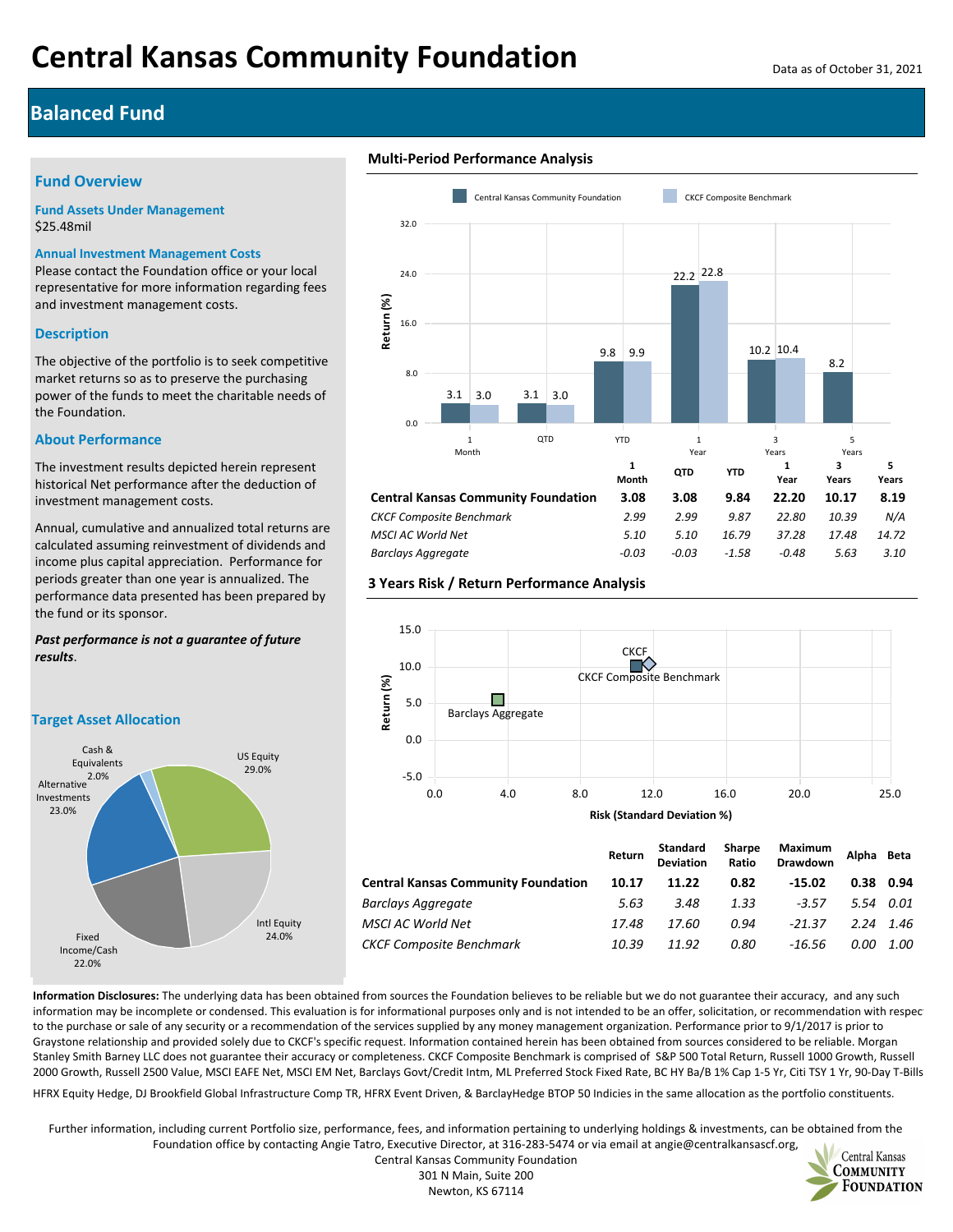# **Balanced Fund**

## **Fund Overview**

**Fund Assets Under Management** \$25.48mil

#### **Annual Investment Management Costs**

Please contact the Foundation office or your local representative for more information regarding fees and investment management costs.

## **Description**

The objective of the portfolio is to seek competitive market returns so as to preserve the purchasing power of the funds to meet the charitable needs of the Foundation.

#### **About Performance**

The investment results depicted herein represent historical Net performance after the deduction of investment management costs.

Annual, cumulative and annualized total returns are calculated assuming reinvestment of dividends and income plus capital appreciation. Performance for periods greater than one year is annualized. The performance data presented has been prepared by the fund or its sponsor.

#### *Past performance is not a guarantee of future results*.

**Target Asset Allocation**







# **3 Years Risk / Return Performance Analysis**



**Information Disclosures:** The underlying data has been obtained from sources the Foundation believes to be reliable but we do not guarantee their accuracy, and any such information may be incomplete or condensed. This evaluation is for informational purposes only and is not intended to be an offer, solicitation, or recommendation with respection, to the purchase or sale of any security or a recommendation of the services supplied by any money management organization. Performance prior to 9/1/2017 is prior to Graystone relationship and provided solely due to CKCF's specific request. Information contained herein has been obtained from sources considered to be reliable. Morgan Stanley Smith Barney LLC does not guarantee their accuracy or completeness. CKCF Composite Benchmark is comprised of S&P 500 Total Return, Russell 1000 Growth, Russell 2000 Growth, Russell 2500 Value, MSCI EAFE Net, MSCI EM Net, Barclays Govt/Credit Intm, ML Preferred Stock Fixed Rate, BC HY Ba/B 1% Cap 1-5 Yr, Citi TSY 1 Yr, 90-Day T-Bills,

HFRX Equity Hedge, DJ Brookfield Global Infrastructure Comp TR, HFRX Event Driven, & BarclayHedge BTOP 50 Indicies in the same allocation as the portfolio constituents.

Further information, including current Portfolio size, performance, fees, and information pertaining to underlying holdings & investments, can be obtained from the Foundation office by contacting Angie Tatro, Executive Director, at 316-283-5474 or via email at angie@centralkansascf.org,



Central Kansas Community Foundation 301 N Main, Suite 200 Newton, KS 67114